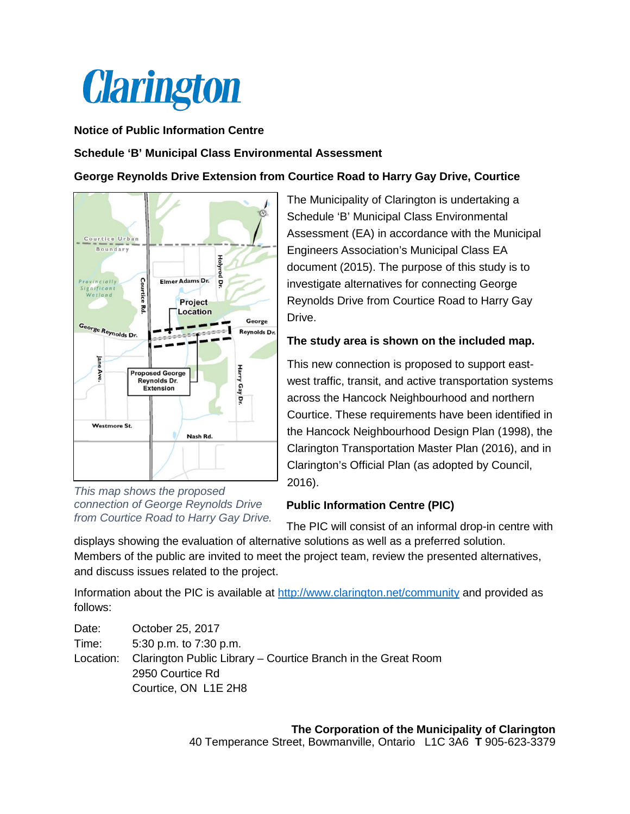

**Notice of Public Information Centre**

#### **Schedule 'B' Municipal Class Environmental Assessment**

### **George Reynolds Drive Extension from Courtice Road to Harry Gay Drive, Courtice**



*This map shows the proposed connection of George Reynolds Drive from Courtice Road to Harry Gay Drive.* The Municipality of Clarington is undertaking a Schedule 'B' Municipal Class Environmental Assessment (EA) in accordance with the Municipal Engineers Association's Municipal Class EA document (2015). The purpose of this study is to investigate alternatives for connecting George Reynolds Drive from Courtice Road to Harry Gay Drive.

### **The study area is shown on the included map.**

This new connection is proposed to support eastwest traffic, transit, and active transportation systems across the Hancock Neighbourhood and northern Courtice. These requirements have been identified in the Hancock Neighbourhood Design Plan (1998), the Clarington Transportation Master Plan (2016), and in Clarington's Official Plan (as adopted by Council, 2016).

# **Public Information Centre (PIC)**

The PIC will consist of an informal drop-in centre with displays showing the evaluation of alternative solutions as well as a preferred solution.

Members of the public are invited to meet the project team, review the presented alternatives, and discuss issues related to the project.

Information about the PIC is available at<http://www.clarington.net/community> and provided as follows:

Date: October 25, 2017 Time: 5:30 p.m. to 7:30 p.m. Location: Clarington Public Library – Courtice Branch in the Great Room 2950 Courtice Rd Courtice, ON L1E 2H8

> **The Corporation of the Municipality of Clarington**  40 Temperance Street, Bowmanville, Ontario L1C 3A6 **T** 905-623-3379